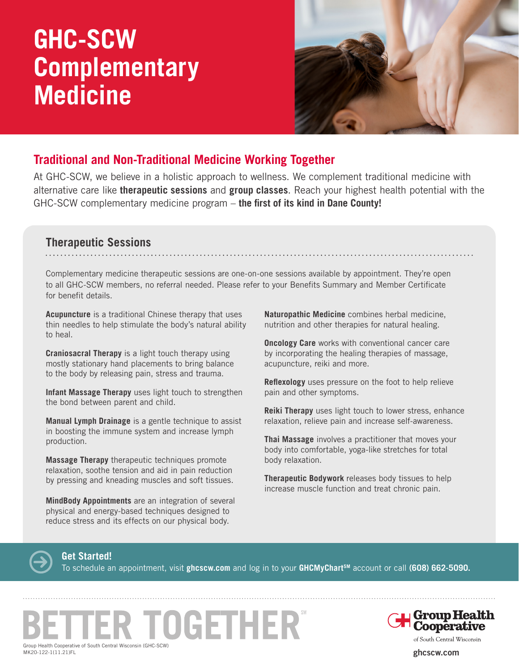# **GHC-SCW Complementary Medicine**



### **Traditional and Non-Traditional Medicine Working Together**

At GHC-SCW, we believe in a holistic approach to wellness. We complement traditional medicine with alternative care like **therapeutic sessions** and **group classes**. Reach your highest health potential with the GHC-SCW complementary medicine program – **the first of its kind in Dane County!**

#### **Therapeutic Sessions**

Complementary medicine therapeutic sessions are one-on-one sessions available by appointment. They're open to all GHC-SCW members, no referral needed. Please refer to your Benefits Summary and Member Certificate for benefit details.

**Acupuncture** is a traditional Chinese therapy that uses thin needles to help stimulate the body's natural ability to heal.

**Craniosacral Therapy** is a light touch therapy using mostly stationary hand placements to bring balance to the body by releasing pain, stress and trauma.

**Infant Massage Therapy** uses light touch to strengthen the bond between parent and child.

**Manual Lymph Drainage** is a gentle technique to assist in boosting the immune system and increase lymph production.

**Massage Therapy** therapeutic techniques promote relaxation, soothe tension and aid in pain reduction by pressing and kneading muscles and soft tissues.

**MindBody Appointments** are an integration of several physical and energy-based techniques designed to reduce stress and its effects on our physical body.

**Naturopathic Medicine** combines herbal medicine, nutrition and other therapies for natural healing.

**Oncology Care** works with conventional cancer care by incorporating the healing therapies of massage, acupuncture, reiki and more.

**Reflexology** uses pressure on the foot to help relieve pain and other symptoms.

**Reiki Therapy** uses light touch to lower stress, enhance relaxation, relieve pain and increase self-awareness.

**Thai Massage** involves a practitioner that moves your body into comfortable, yoga-like stretches for total body relaxation.

**Therapeutic Bodywork** releases body tissues to help increase muscle function and treat chronic pain.



**Get Started!**

To schedule an appointment, visit **ghcscw.com** and log in to your **GHCMyChartSM** account or call **(608) 662-5090.**





of South Central Wisconsin

**ghcscw.com**